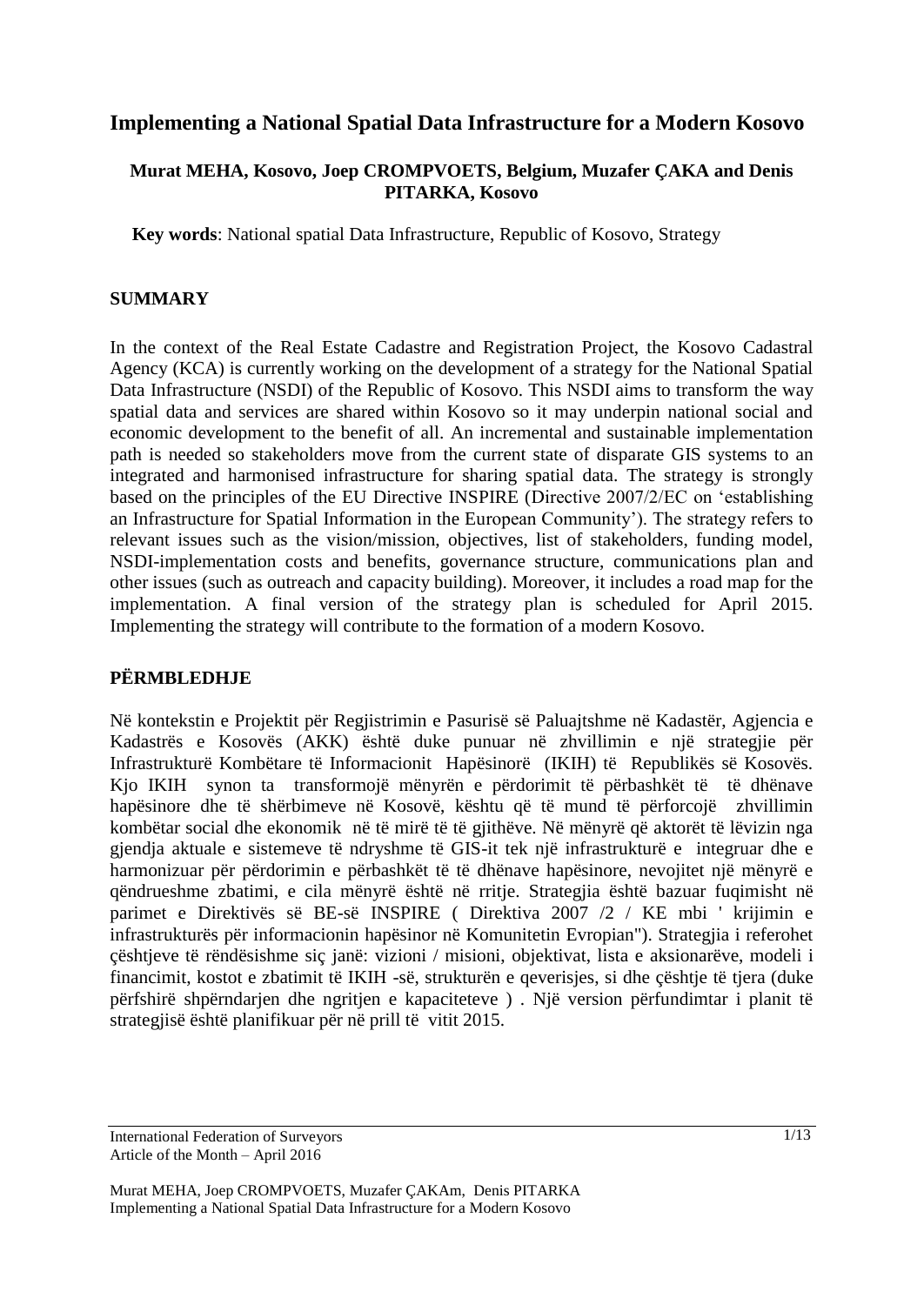# **Implementing a National Spatial Data Infrastructure for a Modern Kosovo**

# **Murat MEHA, Kosovo, Joep CROMPVOETS, Belgium, Muzafer ÇAKA and Denis PITARKA, Kosovo**

**Key words**: National spatial Data Infrastructure, Republic of Kosovo, Strategy

# **SUMMARY**

In the context of the Real Estate Cadastre and Registration Project, the Kosovo Cadastral Agency (KCA) is currently working on the development of a strategy for the National Spatial Data Infrastructure (NSDI) of the Republic of Kosovo. This NSDI aims to transform the way spatial data and services are shared within Kosovo so it may underpin national social and economic development to the benefit of all. An incremental and sustainable implementation path is needed so stakeholders move from the current state of disparate GIS systems to an integrated and harmonised infrastructure for sharing spatial data. The strategy is strongly based on the principles of the EU Directive INSPIRE (Directive 2007/2/EC on 'establishing an Infrastructure for Spatial Information in the European Community'). The strategy refers to relevant issues such as the vision/mission, objectives, list of stakeholders, funding model, NSDI-implementation costs and benefits, governance structure, communications plan and other issues (such as outreach and capacity building). Moreover, it includes a road map for the implementation. A final version of the strategy plan is scheduled for April 2015. Implementing the strategy will contribute to the formation of a modern Kosovo.

# **PËRMBLEDHJE**

Në kontekstin e Projektit për Regjistrimin e Pasurisë së Paluajtshme në Kadastër, Agjencia e Kadastrës e Kosovës (AKK) është duke punuar në zhvillimin e një strategjie për Infrastrukturë Kombëtare të Informacionit Hapësinorë (IKIH) të Republikës së Kosovës. Kjo IKIH synon ta transformojë mënyrën e përdorimit të përbashkët të të dhënave hapësinore dhe të shërbimeve në Kosovë, kështu që të mund të përforcojë zhvillimin kombëtar social dhe ekonomik në të mirë të të gjithëve. Në mënyrë që aktorët të lëvizin nga gjendja aktuale e sistemeve të ndryshme të GIS-it tek një infrastrukturë e integruar dhe e harmonizuar për përdorimin e përbashkët të të dhënave hapësinore, nevojitet një mënyrë e qëndrueshme zbatimi, e cila mënyrë është në rritje. Strategjia është bazuar fuqimisht në parimet e Direktivës së BE-së INSPIRE ( Direktiva 2007 /2 / KE mbi ' krijimin e infrastrukturës për informacionin hapësinor në Komunitetin Evropian"). Strategjia i referohet çështjeve të rëndësishme siç janë: vizioni / misioni, objektivat, lista e aksionarëve, modeli i financimit, kostot e zbatimit të IKIH -së, strukturën e qeverisjes, si dhe çështje të tjera (duke përfshirë shpërndarjen dhe ngritjen e kapaciteteve ) . Një version përfundimtar i planit të strategjisë është planifikuar për në prill të vitit 2015.

International Federation of Surveyors Article of the Month – April 2016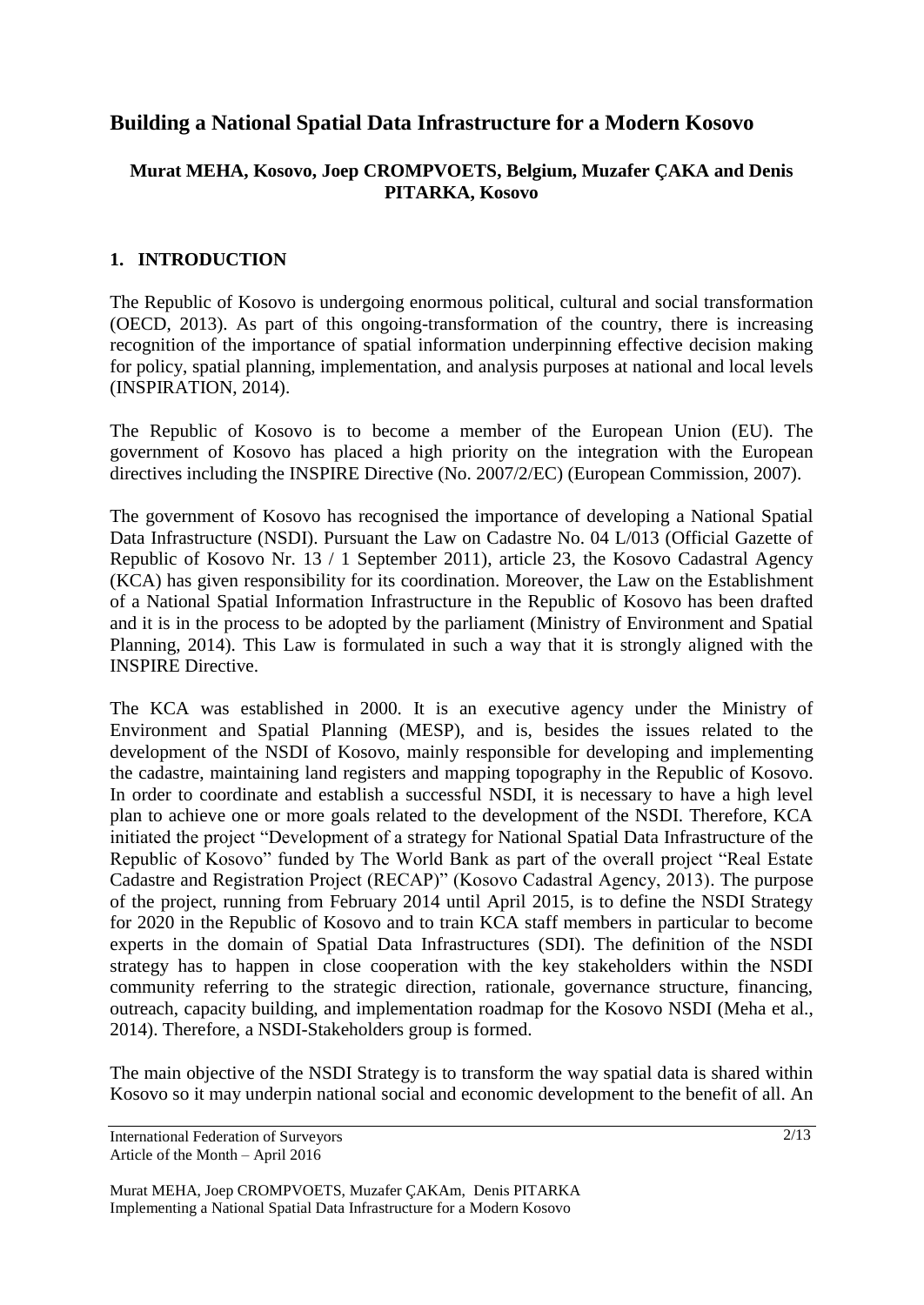# **Building a National Spatial Data Infrastructure for a Modern Kosovo**

# **Murat MEHA, Kosovo, Joep CROMPVOETS, Belgium, Muzafer ÇAKA and Denis PITARKA, Kosovo**

# **1. INTRODUCTION**

The Republic of Kosovo is undergoing enormous political, cultural and social transformation (OECD, 2013). As part of this ongoing-transformation of the country, there is increasing recognition of the importance of spatial information underpinning effective decision making for policy, spatial planning, implementation, and analysis purposes at national and local levels (INSPIRATION, 2014).

The Republic of Kosovo is to become a member of the European Union (EU). The government of Kosovo has placed a high priority on the integration with the European directives including the INSPIRE Directive (No. 2007/2/EC) (European Commission, 2007).

The government of Kosovo has recognised the importance of developing a National Spatial Data Infrastructure (NSDI). Pursuant the Law on Cadastre No. 04 L/013 (Official Gazette of Republic of Kosovo Nr. 13 / 1 September 2011), article 23, the Kosovo Cadastral Agency (KCA) has given responsibility for its coordination. Moreover, the Law on the Establishment of a National Spatial Information Infrastructure in the Republic of Kosovo has been drafted and it is in the process to be adopted by the parliament (Ministry of Environment and Spatial Planning, 2014). This Law is formulated in such a way that it is strongly aligned with the INSPIRE Directive.

The KCA was established in 2000. It is an executive agency under the Ministry of Environment and Spatial Planning (MESP), and is, besides the issues related to the development of the NSDI of Kosovo, mainly responsible for developing and implementing the cadastre, maintaining land registers and mapping topography in the Republic of Kosovo. In order to coordinate and establish a successful NSDI, it is necessary to have a high level plan to achieve one or more goals related to the development of the NSDI. Therefore, KCA initiated the project "Development of a strategy for National Spatial Data Infrastructure of the Republic of Kosovo" funded by The World Bank as part of the overall project "Real Estate Cadastre and Registration Project (RECAP)" (Kosovo Cadastral Agency, 2013). The purpose of the project, running from February 2014 until April 2015, is to define the NSDI Strategy for 2020 in the Republic of Kosovo and to train KCA staff members in particular to become experts in the domain of Spatial Data Infrastructures (SDI). The definition of the NSDI strategy has to happen in close cooperation with the key stakeholders within the NSDI community referring to the strategic direction, rationale, governance structure, financing, outreach, capacity building, and implementation roadmap for the Kosovo NSDI (Meha et al., 2014). Therefore, a NSDI-Stakeholders group is formed.

The main objective of the NSDI Strategy is to transform the way spatial data is shared within Kosovo so it may underpin national social and economic development to the benefit of all. An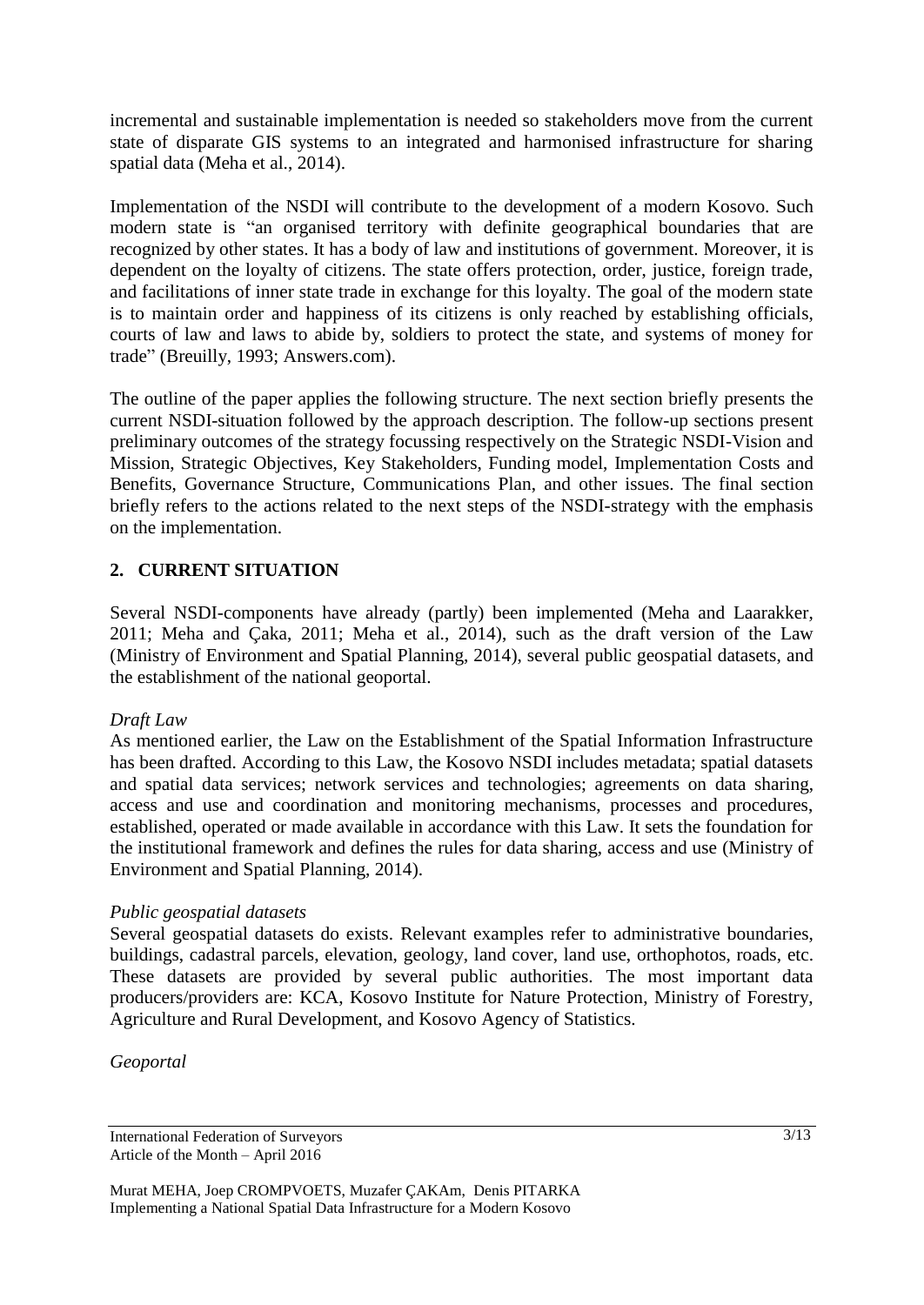incremental and sustainable implementation is needed so stakeholders move from the current state of disparate GIS systems to an integrated and harmonised infrastructure for sharing spatial data (Meha et al., 2014).

Implementation of the NSDI will contribute to the development of a modern Kosovo. Such modern state is "an organised territory with definite geographical boundaries that are recognized by other states. It has a body of law and institutions of government. Moreover, it is dependent on the loyalty of citizens. The state offers protection, order, justice, foreign trade, and facilitations of inner state trade in exchange for this loyalty. The goal of the modern state is to maintain order and happiness of its citizens is only reached by establishing officials, courts of law and laws to abide by, soldiers to protect the state, and systems of money for trade" (Breuilly, 1993; Answers.com).

The outline of the paper applies the following structure. The next section briefly presents the current NSDI-situation followed by the approach description. The follow-up sections present preliminary outcomes of the strategy focussing respectively on the Strategic NSDI-Vision and Mission, Strategic Objectives, Key Stakeholders, Funding model, Implementation Costs and Benefits, Governance Structure, Communications Plan, and other issues. The final section briefly refers to the actions related to the next steps of the NSDI-strategy with the emphasis on the implementation.

# **2. CURRENT SITUATION**

Several NSDI-components have already (partly) been implemented (Meha and Laarakker, 2011; Meha and Çaka, 2011; Meha et al., 2014), such as the draft version of the Law (Ministry of Environment and Spatial Planning, 2014), several public geospatial datasets, and the establishment of the national geoportal.

#### *Draft Law*

As mentioned earlier, the Law on the Establishment of the Spatial Information Infrastructure has been drafted. According to this Law, the Kosovo NSDI includes metadata; spatial datasets and spatial data services; network services and technologies; agreements on data sharing, access and use and coordination and monitoring mechanisms, processes and procedures, established, operated or made available in accordance with this Law. It sets the foundation for the institutional framework and defines the rules for data sharing, access and use (Ministry of Environment and Spatial Planning, 2014).

#### *Public geospatial datasets*

Several geospatial datasets do exists. Relevant examples refer to administrative boundaries, buildings, cadastral parcels, elevation, geology, land cover, land use, orthophotos, roads, etc. These datasets are provided by several public authorities. The most important data producers/providers are: KCA, Kosovo Institute for Nature Protection, Ministry of Forestry, Agriculture and Rural Development, and Kosovo Agency of Statistics.

*Geoportal*

International Federation of Surveyors Article of the Month – April 2016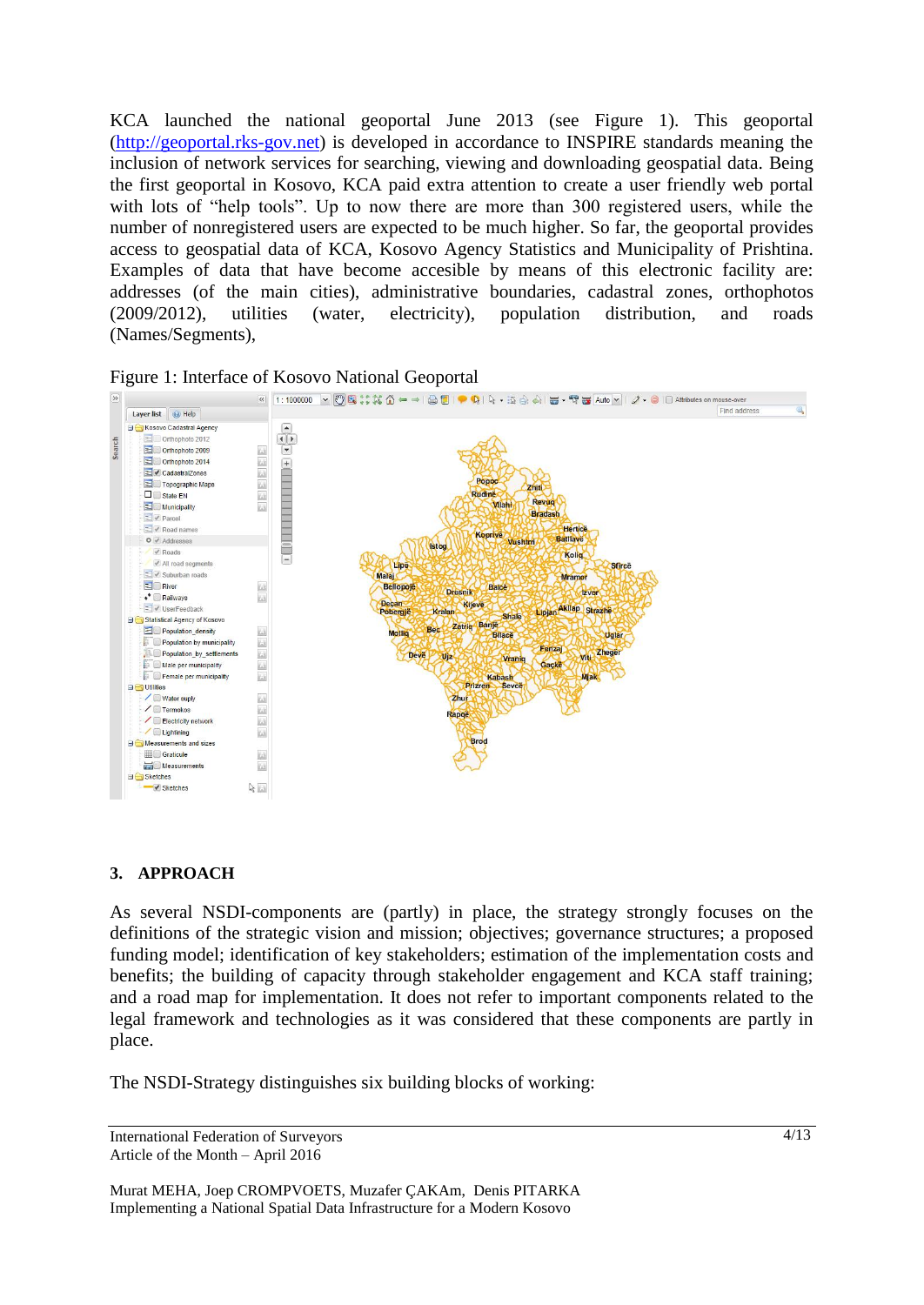KCA launched the national geoportal June 2013 (see Figure 1). This geoportal [\(http://geoportal.rks-gov.net\)](http://geoportal.rks-gov.net/) is developed in accordance to INSPIRE standards meaning the inclusion of network services for searching, viewing and downloading geospatial data. Being the first geoportal in Kosovo, KCA paid extra attention to create a user friendly web portal with lots of "help tools". Up to now there are more than 300 registered users, while the number of nonregistered users are expected to be much higher. So far, the geoportal provides access to geospatial data of KCA, Kosovo Agency Statistics and Municipality of Prishtina. Examples of data that have become accesible by means of this electronic facility are: addresses (of the main cities), administrative boundaries, cadastral zones, orthophotos (2009/2012), utilities (water, electricity), population distribution, and roads (Names/Segments),





#### **3. APPROACH**

As several NSDI-components are (partly) in place, the strategy strongly focuses on the definitions of the strategic vision and mission; objectives; governance structures; a proposed funding model; identification of key stakeholders; estimation of the implementation costs and benefits; the building of capacity through stakeholder engagement and KCA staff training; and a road map for implementation. It does not refer to important components related to the legal framework and technologies as it was considered that these components are partly in place.

The NSDI-Strategy distinguishes six building blocks of working:

```
International Federation of Surveyors 
Article of the Month – April 2016
```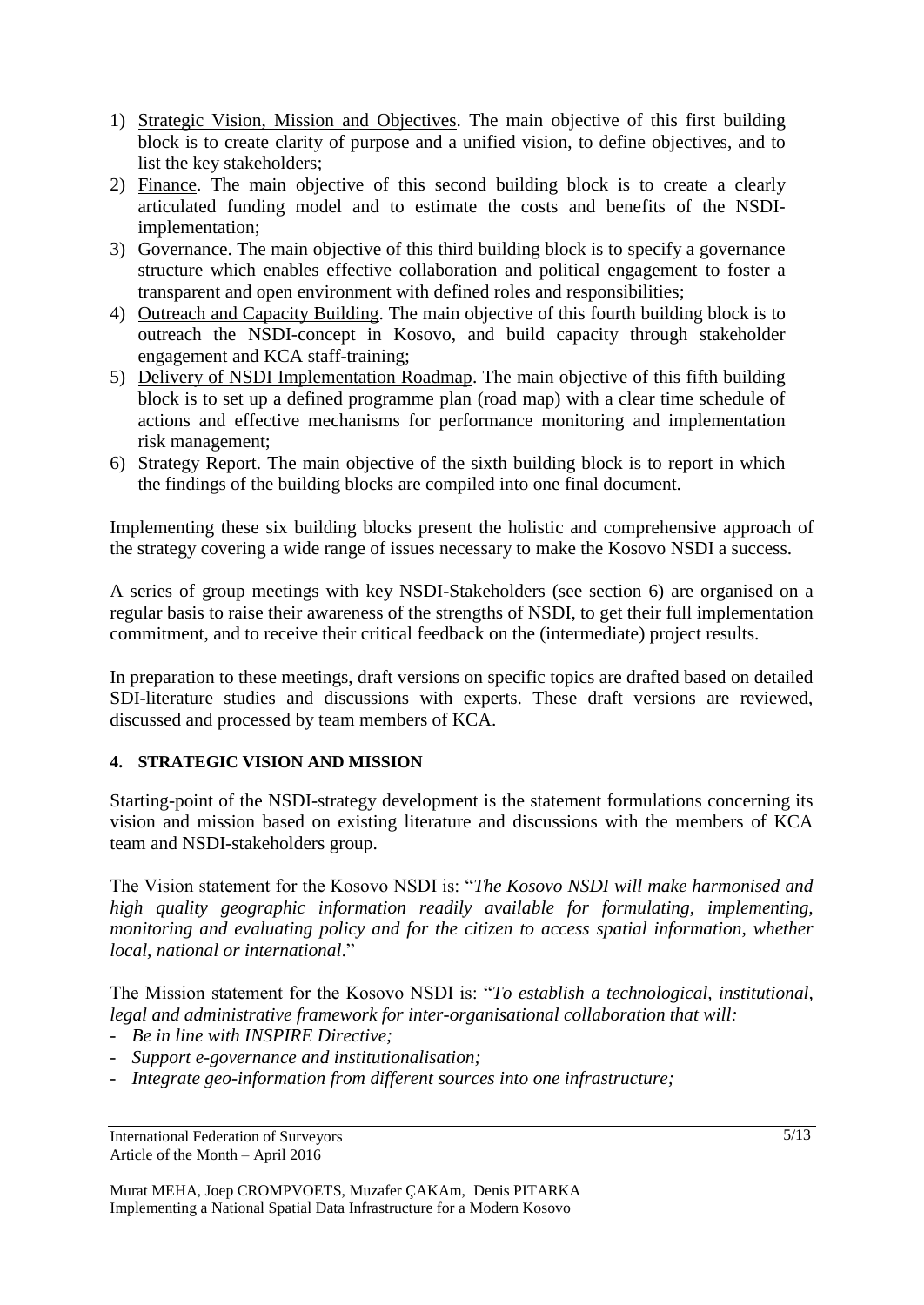- 1) Strategic Vision, Mission and Objectives. The main objective of this first building block is to create clarity of purpose and a unified vision, to define objectives, and to list the key stakeholders;
- 2) Finance. The main objective of this second building block is to create a clearly articulated funding model and to estimate the costs and benefits of the NSDIimplementation;
- 3) Governance. The main objective of this third building block is to specify a governance structure which enables effective collaboration and political engagement to foster a transparent and open environment with defined roles and responsibilities;
- 4) Outreach and Capacity Building. The main objective of this fourth building block is to outreach the NSDI-concept in Kosovo, and build capacity through stakeholder engagement and KCA staff-training;
- 5) Delivery of NSDI Implementation Roadmap. The main objective of this fifth building block is to set up a defined programme plan (road map) with a clear time schedule of actions and effective mechanisms for performance monitoring and implementation risk management;
- 6) Strategy Report. The main objective of the sixth building block is to report in which the findings of the building blocks are compiled into one final document.

Implementing these six building blocks present the holistic and comprehensive approach of the strategy covering a wide range of issues necessary to make the Kosovo NSDI a success.

A series of group meetings with key NSDI-Stakeholders (see section 6) are organised on a regular basis to raise their awareness of the strengths of NSDI, to get their full implementation commitment, and to receive their critical feedback on the (intermediate) project results.

In preparation to these meetings, draft versions on specific topics are drafted based on detailed SDI-literature studies and discussions with experts. These draft versions are reviewed, discussed and processed by team members of KCA.

# **4. STRATEGIC VISION AND MISSION**

Starting-point of the NSDI-strategy development is the statement formulations concerning its vision and mission based on existing literature and discussions with the members of KCA team and NSDI-stakeholders group.

The Vision statement for the Kosovo NSDI is: "*The Kosovo NSDI will make harmonised and high quality geographic information readily available for formulating, implementing, monitoring and evaluating policy and for the citizen to access spatial information, whether local, national or international*."

The Mission statement for the Kosovo NSDI is: "*To establish a technological, institutional, legal and administrative framework for inter-organisational collaboration that will:*

- *Be in line with INSPIRE Directive;*
- *Support e-governance and institutionalisation;*
- *Integrate geo-information from different sources into one infrastructure;*

International Federation of Surveyors Article of the Month – April 2016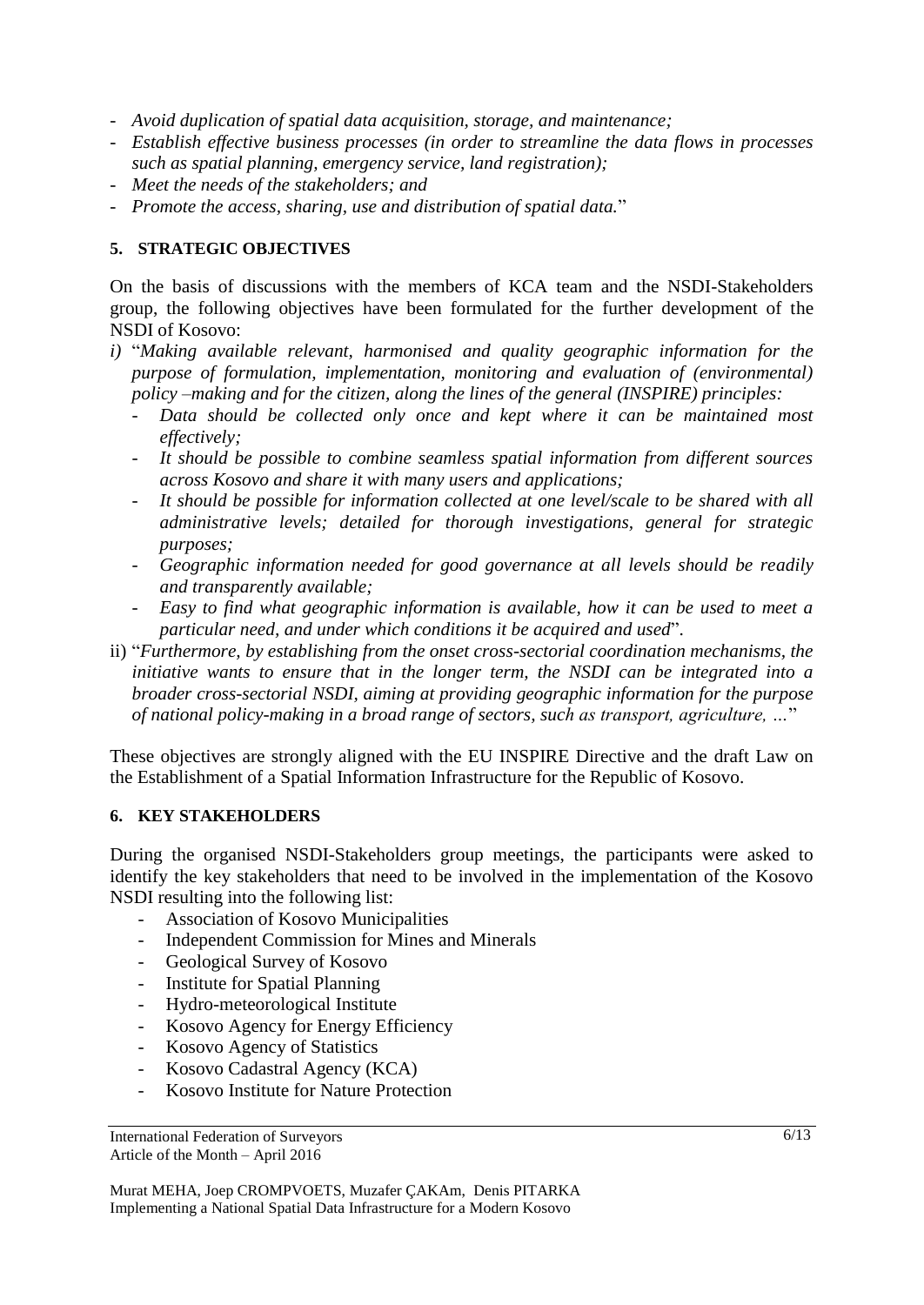- *Avoid duplication of spatial data acquisition, storage, and maintenance;*
- *Establish effective business processes (in order to streamline the data flows in processes such as spatial planning, emergency service, land registration);*
- *Meet the needs of the stakeholders; and*
- *Promote the access, sharing, use and distribution of spatial data.*"

### **5. STRATEGIC OBJECTIVES**

On the basis of discussions with the members of KCA team and the NSDI-Stakeholders group, the following objectives have been formulated for the further development of the NSDI of Kosovo:

- *i)* "*Making available relevant, harmonised and quality geographic information for the purpose of formulation, implementation, monitoring and evaluation of (environmental) policy –making and for the citizen, along the lines of the general (INSPIRE) principles:*
	- Data should be collected only once and kept where it can be maintained most *effectively;*
	- *It should be possible to combine seamless spatial information from different sources across Kosovo and share it with many users and applications;*
	- *It should be possible for information collected at one level/scale to be shared with all administrative levels; detailed for thorough investigations, general for strategic purposes;*
	- *Geographic information needed for good governance at all levels should be readily and transparently available;*
	- *Easy to find what geographic information is available, how it can be used to meet a particular need, and under which conditions it be acquired and used*".
- ii) "*Furthermore, by establishing from the onset cross-sectorial coordination mechanisms, the initiative wants to ensure that in the longer term, the NSDI can be integrated into a broader cross-sectorial NSDI, aiming at providing geographic information for the purpose of national policy-making in a broad range of sectors, such as transport, agriculture, …*"

These objectives are strongly aligned with the EU INSPIRE Directive and the draft Law on the Establishment of a Spatial Information Infrastructure for the Republic of Kosovo.

#### **6. KEY STAKEHOLDERS**

During the organised NSDI-Stakeholders group meetings, the participants were asked to identify the key stakeholders that need to be involved in the implementation of the Kosovo NSDI resulting into the following list:

- Association of Kosovo Municipalities
- Independent Commission for Mines and Minerals
- Geological Survey of Kosovo
- Institute for Spatial Planning
- Hydro-meteorological Institute
- Kosovo Agency for Energy Efficiency
- Kosovo Agency of Statistics
- Kosovo Cadastral Agency (KCA)
- Kosovo Institute for Nature Protection

International Federation of Surveyors Article of the Month – April 2016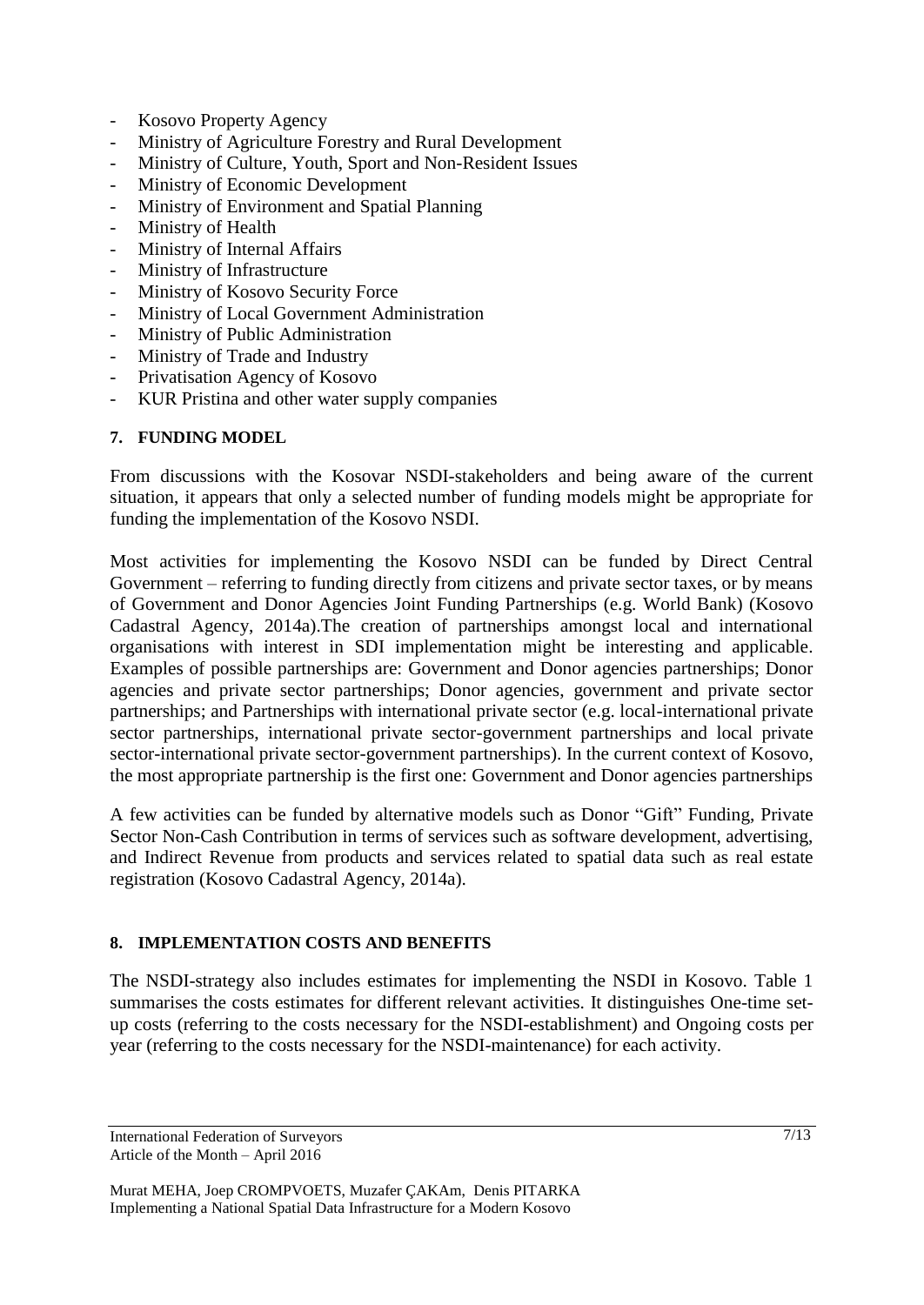- Kosovo Property Agency
- Ministry of Agriculture Forestry and Rural Development
- Ministry of Culture, Youth, Sport and Non-Resident Issues
- Ministry of Economic Development
- Ministry of Environment and Spatial Planning
- Ministry of Health
- Ministry of Internal Affairs
- Ministry of Infrastructure
- Ministry of Kosovo Security Force
- Ministry of Local Government Administration
- Ministry of Public Administration
- Ministry of Trade and Industry
- Privatisation Agency of Kosovo
- KUR Pristina and other water supply companies

#### **7. FUNDING MODEL**

From discussions with the Kosovar NSDI-stakeholders and being aware of the current situation, it appears that only a selected number of funding models might be appropriate for funding the implementation of the Kosovo NSDI.

Most activities for implementing the Kosovo NSDI can be funded by Direct Central Government – referring to funding directly from citizens and private sector taxes, or by means of Government and Donor Agencies Joint Funding Partnerships (e.g. World Bank) (Kosovo Cadastral Agency, 2014a).The creation of partnerships amongst local and international organisations with interest in SDI implementation might be interesting and applicable. Examples of possible partnerships are: Government and Donor agencies partnerships; Donor agencies and private sector partnerships; Donor agencies, government and private sector partnerships; and Partnerships with international private sector (e.g. local-international private sector partnerships, international private sector-government partnerships and local private sector-international private sector-government partnerships). In the current context of Kosovo, the most appropriate partnership is the first one: Government and Donor agencies partnerships

A few activities can be funded by alternative models such as Donor "Gift" Funding, Private Sector Non-Cash Contribution in terms of services such as software development, advertising, and Indirect Revenue from products and services related to spatial data such as real estate registration (Kosovo Cadastral Agency, 2014a).

#### **8. IMPLEMENTATION COSTS AND BENEFITS**

The NSDI-strategy also includes estimates for implementing the NSDI in Kosovo. Table 1 summarises the costs estimates for different relevant activities. It distinguishes One-time setup costs (referring to the costs necessary for the NSDI-establishment) and Ongoing costs per year (referring to the costs necessary for the NSDI-maintenance) for each activity.

International Federation of Surveyors Article of the Month – April 2016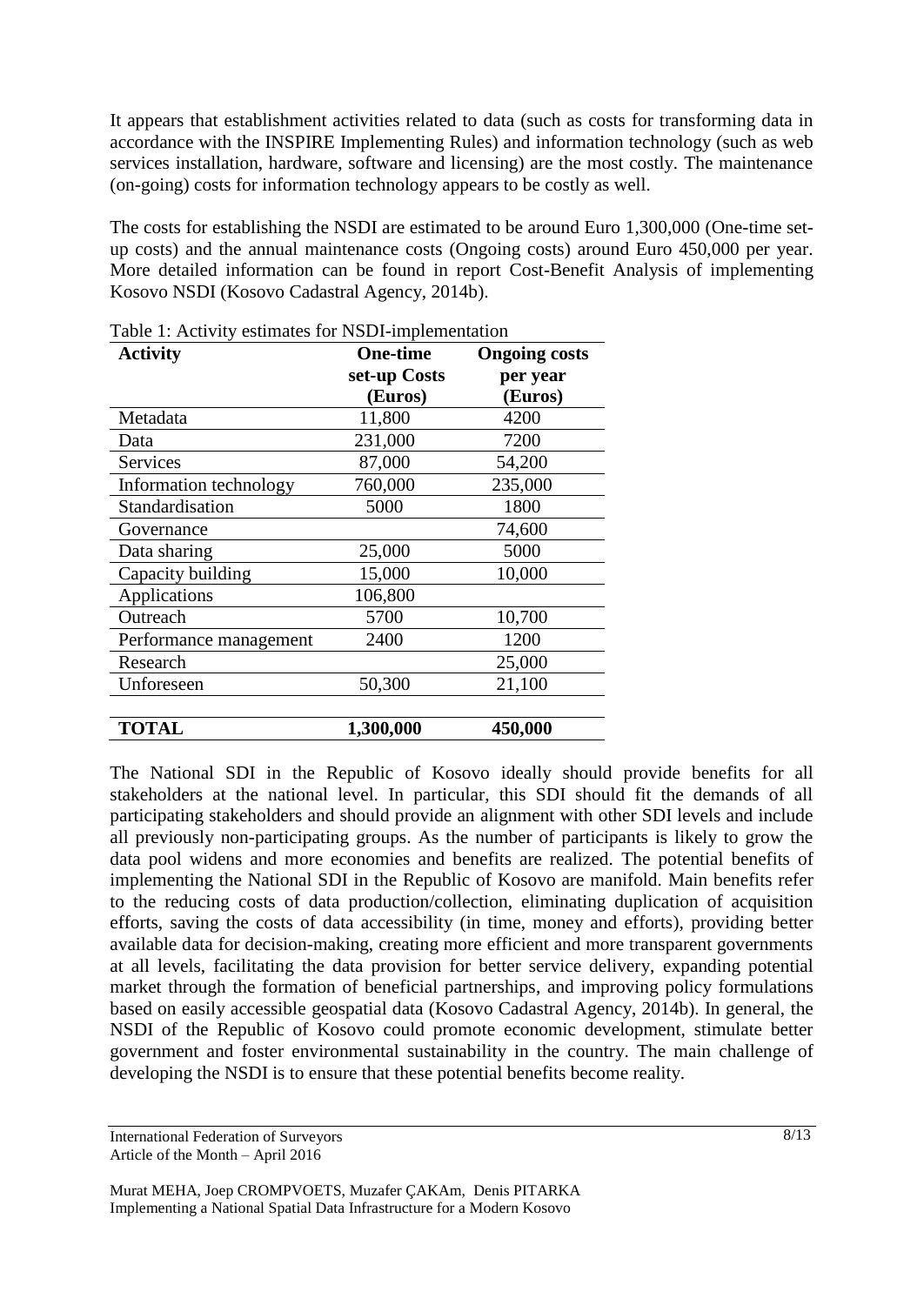It appears that establishment activities related to data (such as costs for transforming data in accordance with the INSPIRE Implementing Rules) and information technology (such as web services installation, hardware, software and licensing) are the most costly. The maintenance (on-going) costs for information technology appears to be costly as well.

The costs for establishing the NSDI are estimated to be around Euro 1,300,000 (One-time setup costs) and the annual maintenance costs (Ongoing costs) around Euro 450,000 per year. More detailed information can be found in report Cost-Benefit Analysis of implementing Kosovo NSDI (Kosovo Cadastral Agency, 2014b).

| <b>Activity</b>        | <b>One-time</b> | <b>Ongoing costs</b> |
|------------------------|-----------------|----------------------|
|                        | set-up Costs    | per year             |
|                        | (Euros)         | (Euros)              |
| Metadata               | 11,800          | 4200                 |
| Data                   | 231,000         | 7200                 |
| Services               | 87,000          | 54,200               |
| Information technology | 760,000         | 235,000              |
| Standardisation        | 5000            | 1800                 |
| Governance             |                 | 74,600               |
| Data sharing           | 25,000          | 5000                 |
| Capacity building      | 15,000          | 10,000               |
| Applications           | 106,800         |                      |
| Outreach               | 5700            | 10,700               |
| Performance management | 2400            | 1200                 |
| Research               |                 | 25,000               |
| Unforeseen             | 50,300          | 21,100               |
|                        |                 |                      |
| <b>TOTAL</b>           | 1,300,000       | 450,000              |

Table 1: Activity estimates for NSDI-implementation

The National SDI in the Republic of Kosovo ideally should provide benefits for all stakeholders at the national level. In particular, this SDI should fit the demands of all participating stakeholders and should provide an alignment with other SDI levels and include all previously non-participating groups. As the number of participants is likely to grow the data pool widens and more economies and benefits are realized. The potential benefits of implementing the National SDI in the Republic of Kosovo are manifold. Main benefits refer to the reducing costs of data production/collection, eliminating duplication of acquisition efforts, saving the costs of data accessibility (in time, money and efforts), providing better available data for decision-making, creating more efficient and more transparent governments at all levels, facilitating the data provision for better service delivery, expanding potential market through the formation of beneficial partnerships, and improving policy formulations based on easily accessible geospatial data (Kosovo Cadastral Agency, 2014b). In general, the NSDI of the Republic of Kosovo could promote economic development, stimulate better government and foster environmental sustainability in the country. The main challenge of developing the NSDI is to ensure that these potential benefits become reality.

International Federation of Surveyors Article of the Month – April 2016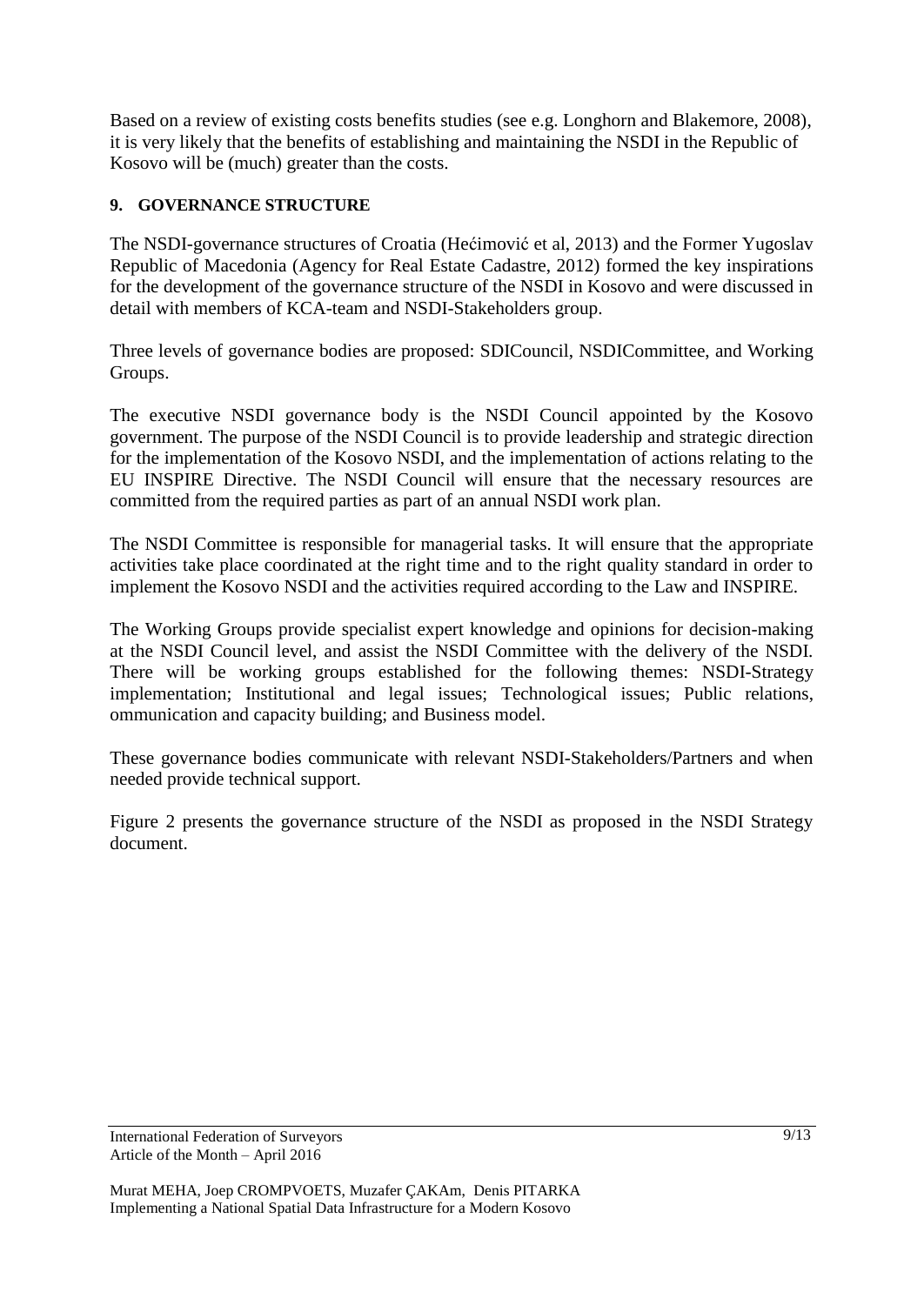Based on a review of existing costs benefits studies (see e.g. Longhorn and Blakemore, 2008), it is very likely that the benefits of establishing and maintaining the NSDI in the Republic of Kosovo will be (much) greater than the costs.

# **9. GOVERNANCE STRUCTURE**

The NSDI-governance structures of Croatia (Hećimović et al, 2013) and the Former Yugoslav Republic of Macedonia (Agency for Real Estate Cadastre, 2012) formed the key inspirations for the development of the governance structure of the NSDI in Kosovo and were discussed in detail with members of KCA-team and NSDI-Stakeholders group.

Three levels of governance bodies are proposed: SDICouncil, NSDICommittee, and Working Groups.

The executive NSDI governance body is the NSDI Council appointed by the Kosovo government. The purpose of the NSDI Council is to provide leadership and strategic direction for the implementation of the Kosovo NSDI, and the implementation of actions relating to the EU INSPIRE Directive. The NSDI Council will ensure that the necessary resources are committed from the required parties as part of an annual NSDI work plan.

The NSDI Committee is responsible for managerial tasks. It will ensure that the appropriate activities take place coordinated at the right time and to the right quality standard in order to implement the Kosovo NSDI and the activities required according to the Law and INSPIRE.

The Working Groups provide specialist expert knowledge and opinions for decision-making at the NSDI Council level, and assist the NSDI Committee with the delivery of the NSDI. There will be working groups established for the following themes: NSDI-Strategy implementation; Institutional and legal issues; Technological issues; Public relations, ommunication and capacity building; and Business model.

These governance bodies communicate with relevant NSDI-Stakeholders/Partners and when needed provide technical support.

Figure 2 presents the governance structure of the NSDI as proposed in the NSDI Strategy document.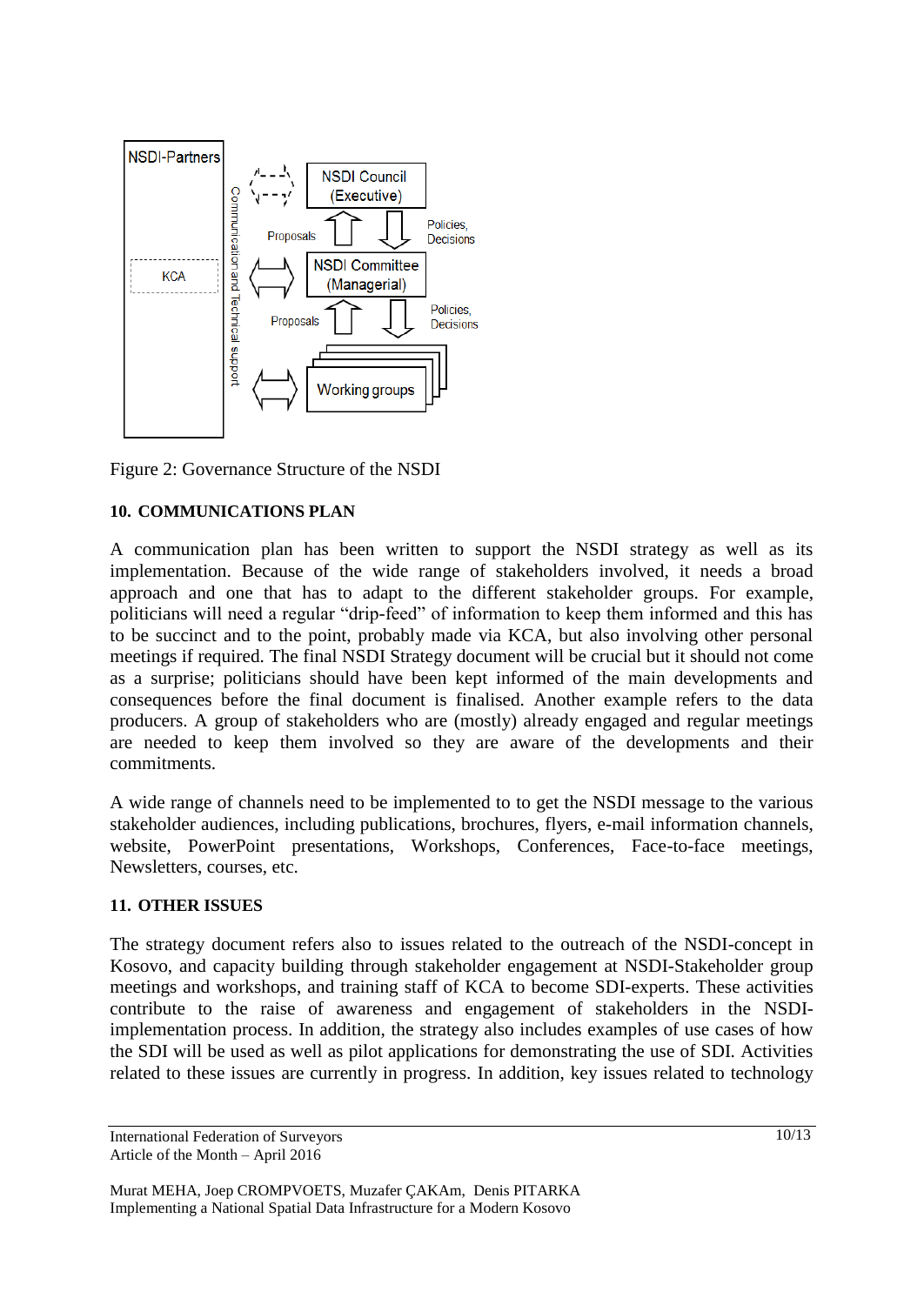

Figure 2: Governance Structure of the NSDI

# **10. COMMUNICATIONS PLAN**

A communication plan has been written to support the NSDI strategy as well as its implementation. Because of the wide range of stakeholders involved, it needs a broad approach and one that has to adapt to the different stakeholder groups. For example, politicians will need a regular "drip-feed" of information to keep them informed and this has to be succinct and to the point, probably made via KCA, but also involving other personal meetings if required. The final NSDI Strategy document will be crucial but it should not come as a surprise; politicians should have been kept informed of the main developments and consequences before the final document is finalised. Another example refers to the data producers. A group of stakeholders who are (mostly) already engaged and regular meetings are needed to keep them involved so they are aware of the developments and their commitments.

A wide range of channels need to be implemented to to get the NSDI message to the various stakeholder audiences, including publications, brochures, flyers, e-mail information channels, website, PowerPoint presentations, Workshops, Conferences, Face-to-face meetings, Newsletters, courses, etc.

#### **11. OTHER ISSUES**

The strategy document refers also to issues related to the outreach of the NSDI-concept in Kosovo, and capacity building through stakeholder engagement at NSDI-Stakeholder group meetings and workshops, and training staff of KCA to become SDI-experts. These activities contribute to the raise of awareness and engagement of stakeholders in the NSDIimplementation process. In addition, the strategy also includes examples of use cases of how the SDI will be used as well as pilot applications for demonstrating the use of SDI. Activities related to these issues are currently in progress. In addition, key issues related to technology

International Federation of Surveyors Article of the Month – April 2016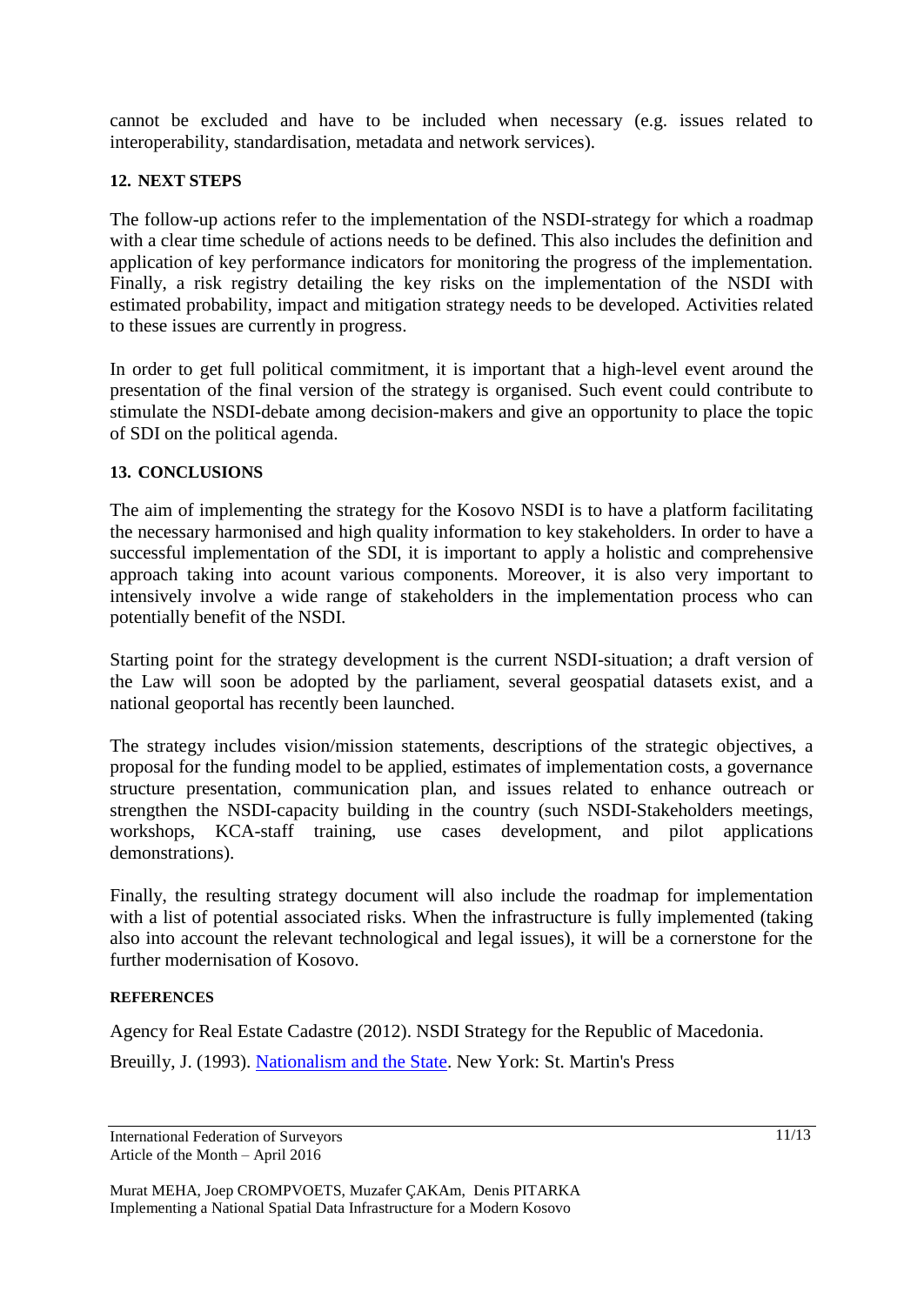cannot be excluded and have to be included when necessary (e.g. issues related to interoperability, standardisation, metadata and network services).

### **12. NEXT STEPS**

The follow-up actions refer to the implementation of the NSDI-strategy for which a roadmap with a clear time schedule of actions needs to be defined. This also includes the definition and application of key performance indicators for monitoring the progress of the implementation. Finally, a risk registry detailing the key risks on the implementation of the NSDI with estimated probability, impact and mitigation strategy needs to be developed. Activities related to these issues are currently in progress.

In order to get full political commitment, it is important that a high-level event around the presentation of the final version of the strategy is organised. Such event could contribute to stimulate the NSDI-debate among decision-makers and give an opportunity to place the topic of SDI on the political agenda.

#### **13. CONCLUSIONS**

The aim of implementing the strategy for the Kosovo NSDI is to have a platform facilitating the necessary harmonised and high quality information to key stakeholders. In order to have a successful implementation of the SDI, it is important to apply a holistic and comprehensive approach taking into acount various components. Moreover, it is also very important to intensively involve a wide range of stakeholders in the implementation process who can potentially benefit of the NSDI.

Starting point for the strategy development is the current NSDI-situation; a draft version of the Law will soon be adopted by the parliament, several geospatial datasets exist, and a national geoportal has recently been launched.

The strategy includes vision/mission statements, descriptions of the strategic objectives, a proposal for the funding model to be applied, estimates of implementation costs, a governance structure presentation, communication plan, and issues related to enhance outreach or strengthen the NSDI-capacity building in the country (such NSDI-Stakeholders meetings, workshops, KCA-staff training, use cases development, and pilot applications demonstrations).

Finally, the resulting strategy document will also include the roadmap for implementation with a list of potential associated risks. When the infrastructure is fully implemented (taking also into account the relevant technological and legal issues), it will be a cornerstone for the further modernisation of Kosovo.

#### **REFERENCES**

Agency for Real Estate Cadastre (2012). NSDI Strategy for the Republic of Macedonia. Breuilly, J. (1993). [Nationalism and the State.](http://books.google.com/books?vid=ISBN0719038006&id=6sEVmFtkpngC&pg=PP1&lpg=PP1&ots=jaRrjiINsh&dq=Breuilly+Nationalism+and+the+State&sig=xdUZ4zKU-os0Mx75Wk9gO3LuYhU) New York: St. Martin's Press

International Federation of Surveyors Article of the Month – April 2016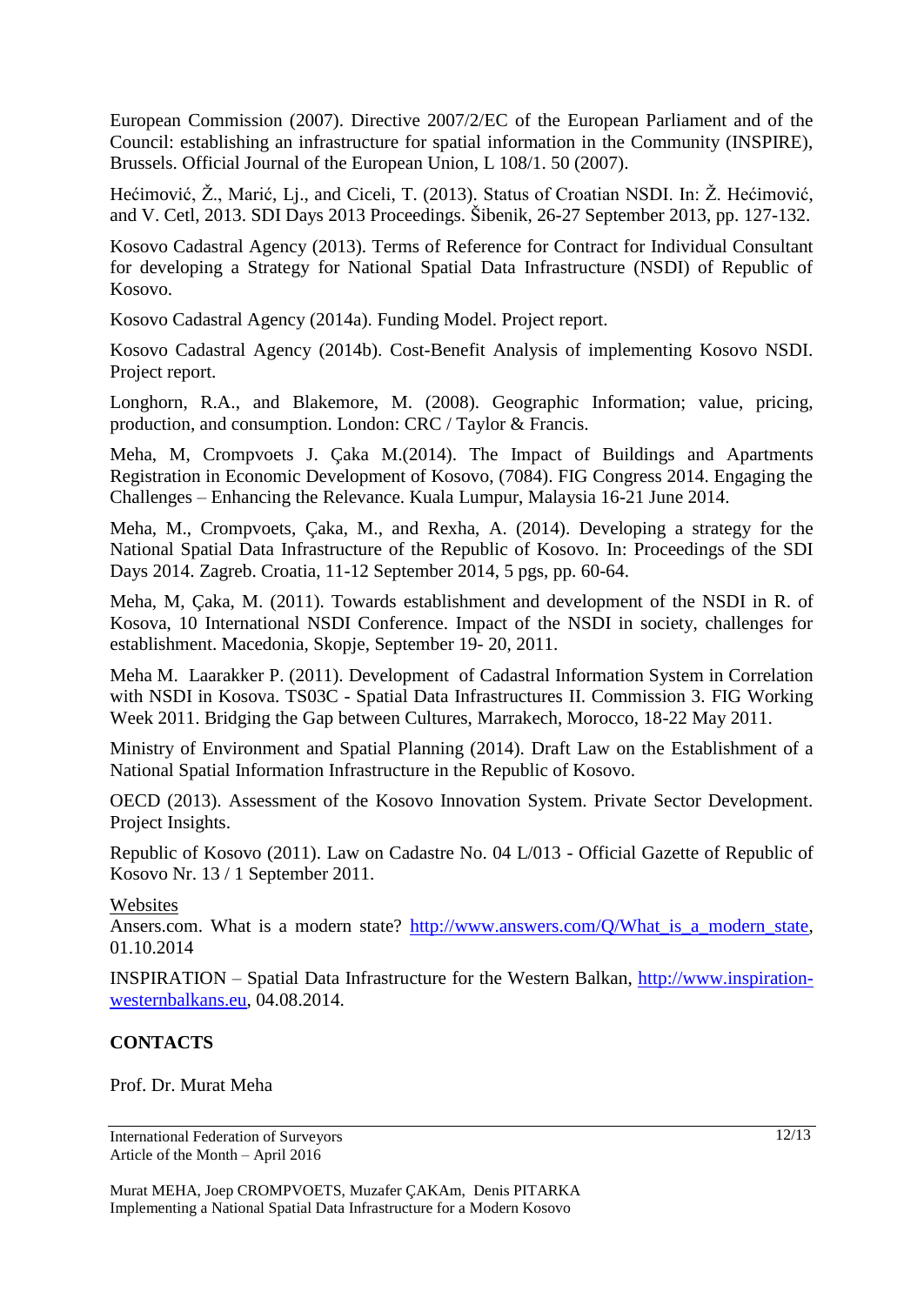European Commission (2007). Directive 2007/2/EC of the European Parliament and of the Council: establishing an infrastructure for spatial information in the Community (INSPIRE), Brussels. Official Journal of the European Union, L 108/1. 50 (2007).

Hećimović, Ž., Marić, Lj., and Ciceli, T. (2013). Status of Croatian NSDI. In: Ž. Hećimović, and V. Cetl, 2013. SDI Days 2013 Proceedings. Šibenik, 26-27 September 2013, pp. 127-132.

Kosovo Cadastral Agency (2013). Terms of Reference for Contract for Individual Consultant for developing a Strategy for National Spatial Data Infrastructure (NSDI) of Republic of Kosovo.

Kosovo Cadastral Agency (2014a). Funding Model. Project report.

Kosovo Cadastral Agency (2014b). Cost-Benefit Analysis of implementing Kosovo NSDI. Project report.

Longhorn, R.A., and Blakemore, M. (2008). Geographic Information; value, pricing, production, and consumption. London: CRC / Taylor & Francis.

Meha, M, Crompvoets J. Çaka M.(2014). The Impact of Buildings and Apartments Registration in Economic Development of Kosovo, (7084). FIG Congress 2014. Engaging the Challenges – Enhancing the Relevance. Kuala Lumpur, Malaysia 16-21 June 2014.

Meha, M., Crompvoets, Çaka, M., and Rexha, A. (2014). Developing a strategy for the National Spatial Data Infrastructure of the Republic of Kosovo. In: Proceedings of the SDI Days 2014. Zagreb. Croatia, 11-12 September 2014, 5 pgs, pp. 60-64.

Meha, M, Çaka, M. (2011). Towards establishment and development of the NSDI in R. of Kosova, 10 International NSDI Conference. Impact of the NSDI in society, challenges for establishment. Macedonia, Skopje, September 19- 20, 2011.

Meha M. Laarakker P. (2011). Development of Cadastral Information System in Correlation with NSDI in Kosova. TS03C - Spatial Data Infrastructures II. Commission 3. FIG Working Week 2011. Bridging the Gap between Cultures, Marrakech, Morocco, 18-22 May 2011.

Ministry of Environment and Spatial Planning (2014). Draft Law on the Establishment of a National Spatial Information Infrastructure in the Republic of Kosovo.

OECD (2013). Assessment of the Kosovo Innovation System. Private Sector Development. Project Insights.

Republic of Kosovo (2011). Law on Cadastre No. 04 L/013 - Official Gazette of Republic of Kosovo Nr. 13 / 1 September 2011.

#### Websites

Ansers.com. What is a modern state? http://www.answers.com/O/What is a modern state, 01.10.2014

INSPIRATION – Spatial Data Infrastructure for the Western Balkan, [http://www.inspiration](http://www.inspiration-westernbalkans.eu/)[westernbalkans.eu,](http://www.inspiration-westernbalkans.eu/) 04.08.2014.

# **CONTACTS**

Prof. Dr. Murat Meha

International Federation of Surveyors Article of the Month – April 2016